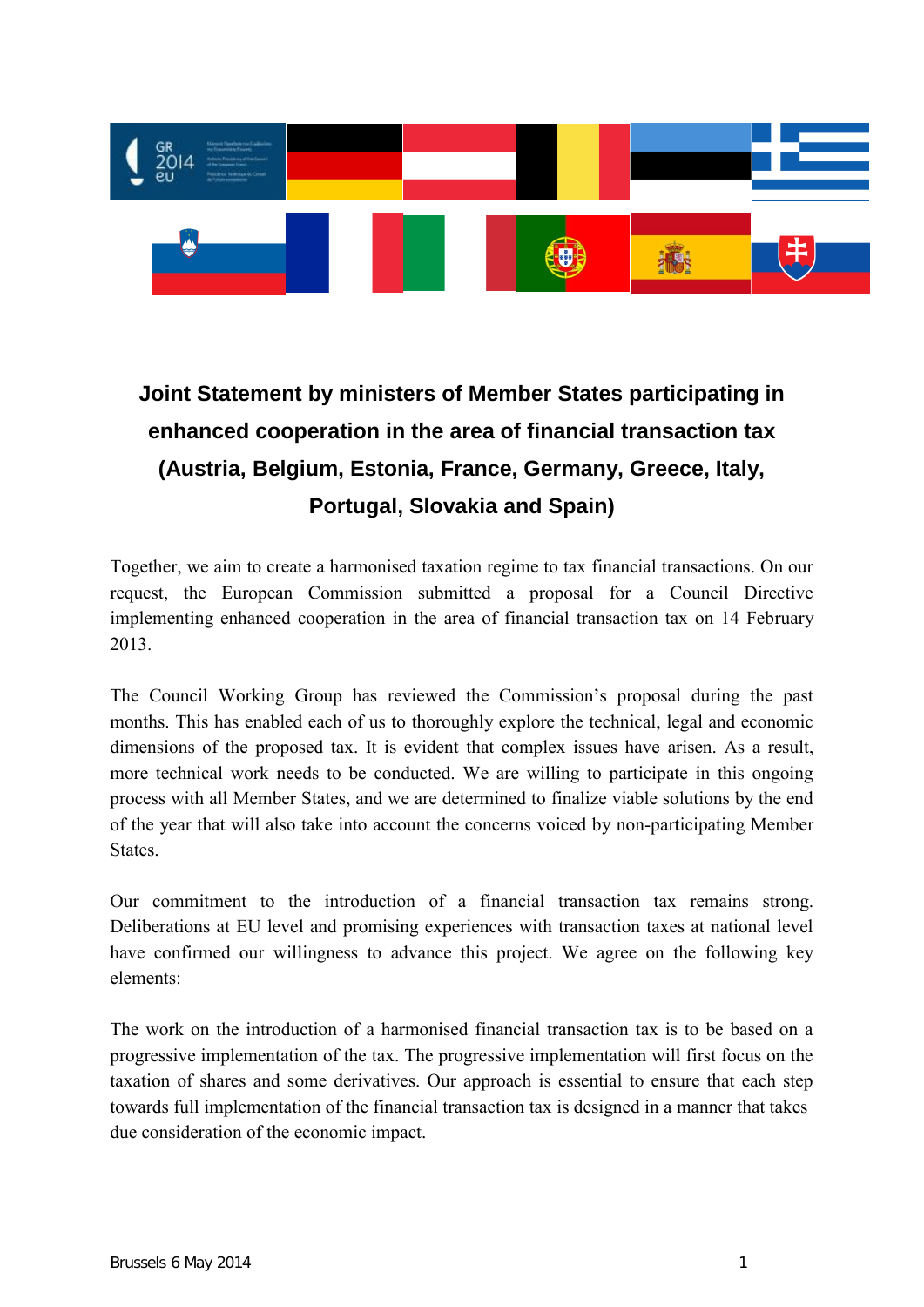

## **Joint Statement by ministers of Member States participating in enhanced cooperation in the area of financial transaction tax (Austria, Belgium, Estonia, France, Germany, Greece, Italy, Portugal, Slovakia and Spain)**

Together, we aim to create a harmonised taxation regime to tax financial transactions. On our request, the European Commission submitted a proposal for a Council Directive implementing enhanced cooperation in the area of financial transaction tax on 14 February 2013.

The Council Working Group has reviewed the Commission's proposal during the past months. This has enabled each of us to thoroughly explore the technical, legal and economic dimensions of the proposed tax. It is evident that complex issues have arisen. As a result, more technical work needs to be conducted. We are willing to participate in this ongoing process with all Member States, and we are determined to finalize viable solutions by the end of the year that will also take into account the concerns voiced by non-participating Member **States** 

Our commitment to the introduction of a financial transaction tax remains strong. Deliberations at EU level and promising experiences with transaction taxes at national level have confirmed our willingness to advance this project. We agree on the following key elements:

The work on the introduction of a harmonised financial transaction tax is to be based on a progressive implementation of the tax. The progressive implementation will first focus on the taxation of shares and some derivatives. Our approach is essential to ensure that each step towards full implementation of the financial transaction tax is designed in a manner that takes due consideration of the economic impact.